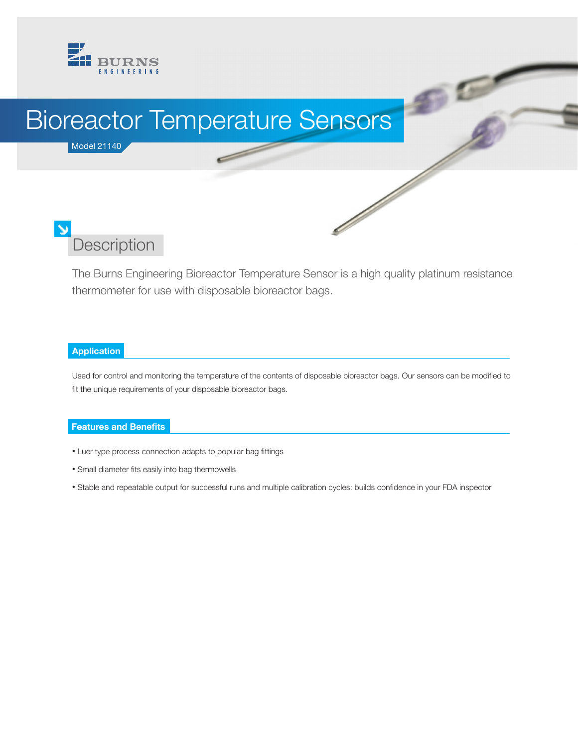

# Bioreactor Temperature Sensors

### Model 21140

# **Description**

The Burns Engineering Bioreactor Temperature Sensor is a high quality platinum resistance thermometer for use with disposable bioreactor bags.

 $\mathcal{D}^{\mathcal{D}}$ 

 $\frac{1}{\sqrt{2}}$ 

#### **Application**

Used for control and monitoring the temperature of the contents of disposable bioreactor bags. Our sensors can be modified to fit the unique requirements of your disposable bioreactor bags.

#### **Features and Benefits**

- Luer type process connection adapts to popular bag fittings
- Small diameter fits easily into bag thermowells
- Stable and repeatable output for successful runs and multiple calibration cycles: builds confidence in your FDA inspector